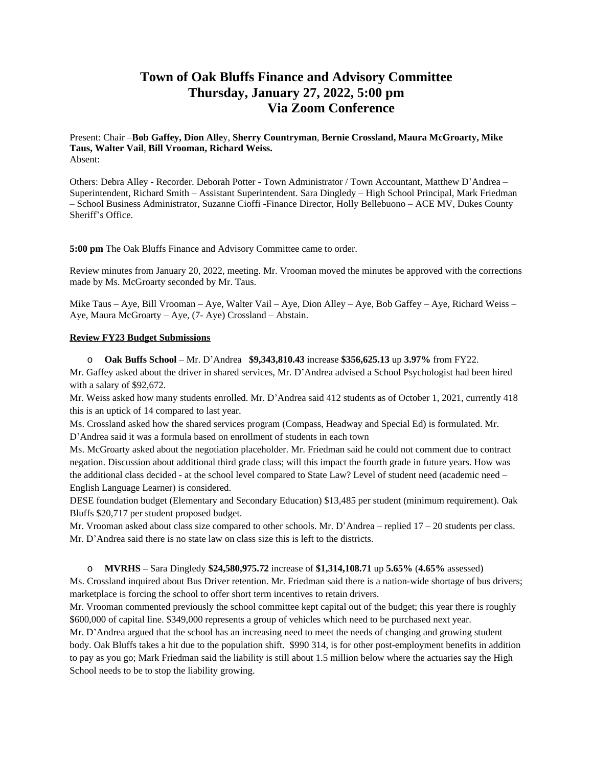# **Town of Oak Bluffs Finance and Advisory Committee Thursday, January 27, 2022, 5:00 pm Via Zoom Conference**

Present: Chair –**Bob Gaffey, Dion Alle**y, **Sherry Countryman**, **Bernie Crossland, Maura McGroarty, Mike Taus, Walter Vail**, **Bill Vrooman, Richard Weiss.**  Absent:

Others: Debra Alley - Recorder. Deborah Potter - Town Administrator / Town Accountant, Matthew D'Andrea – Superintendent, Richard Smith – Assistant Superintendent. Sara Dingledy – High School Principal, Mark Friedman – School Business Administrator, Suzanne Cioffi -Finance Director, Holly Bellebuono – ACE MV, Dukes County Sheriff's Office.

**5:00 pm** The Oak Bluffs Finance and Advisory Committee came to order.

Review minutes from January 20, 2022, meeting. Mr. Vrooman moved the minutes be approved with the corrections made by Ms. McGroarty seconded by Mr. Taus.

Mike Taus – Aye, Bill Vrooman – Aye, Walter Vail – Aye, Dion Alley – Aye, Bob Gaffey – Aye, Richard Weiss – Aye, Maura McGroarty – Aye, (7- Aye) Crossland – Abstain.

## **Review FY23 Budget Submissions**

o **Oak Buffs School** – Mr. D'Andrea **\$9,343,810.43** increase **\$356,625.13** up **3.97%** from FY22.

Mr. Gaffey asked about the driver in shared services, Mr. D'Andrea advised a School Psychologist had been hired with a salary of \$92,672.

Mr. Weiss asked how many students enrolled. Mr. D'Andrea said 412 students as of October 1, 2021, currently 418 this is an uptick of 14 compared to last year.

Ms. Crossland asked how the shared services program (Compass, Headway and Special Ed) is formulated. Mr. D'Andrea said it was a formula based on enrollment of students in each town

Ms. McGroarty asked about the negotiation placeholder. Mr. Friedman said he could not comment due to contract negation. Discussion about additional third grade class; will this impact the fourth grade in future years. How was the additional class decided - at the school level compared to State Law? Level of student need (academic need – English Language Learner) is considered.

DESE foundation budget (Elementary and Secondary Education) \$13,485 per student (minimum requirement). Oak Bluffs \$20,717 per student proposed budget.

Mr. Vrooman asked about class size compared to other schools. Mr. D'Andrea – replied 17 – 20 students per class. Mr. D'Andrea said there is no state law on class size this is left to the districts.

o **MVRHS –** Sara Dingledy **\$24,580,975.72** increase of **\$1,314,108.71** up **5.65%** (**4.65%** assessed)

Ms. Crossland inquired about Bus Driver retention. Mr. Friedman said there is a nation-wide shortage of bus drivers; marketplace is forcing the school to offer short term incentives to retain drivers.

Mr. Vrooman commented previously the school committee kept capital out of the budget; this year there is roughly \$600,000 of capital line. \$349,000 represents a group of vehicles which need to be purchased next year.

Mr. D'Andrea argued that the school has an increasing need to meet the needs of changing and growing student body. Oak Bluffs takes a hit due to the population shift. \$990 314, is for other post-employment benefits in addition to pay as you go; Mark Friedman said the liability is still about 1.5 million below where the actuaries say the High School needs to be to stop the liability growing.